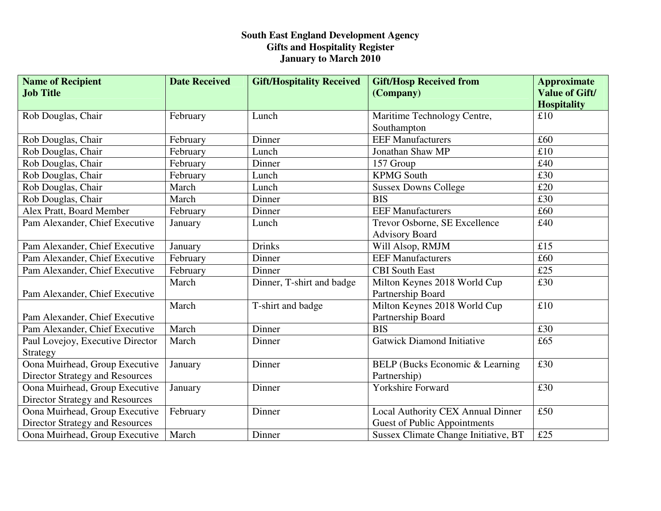## **South East England Development Agency Gifts and Hospitality Register January to March 2010**

| <b>Name of Recipient</b>               | <b>Date Received</b> | <b>Gift/Hospitality Received</b> | <b>Gift/Hosp Received from</b>       | <b>Approximate</b>            |
|----------------------------------------|----------------------|----------------------------------|--------------------------------------|-------------------------------|
| <b>Job Title</b>                       |                      |                                  | (Company)                            | <b>Value of Gift/</b>         |
|                                        |                      |                                  |                                      | <b>Hospitality</b>            |
| Rob Douglas, Chair                     | February             | Lunch                            | Maritime Technology Centre,          | £10                           |
|                                        |                      |                                  | Southampton                          |                               |
| Rob Douglas, Chair                     | February             | Dinner                           | <b>EEF Manufacturers</b>             | £60                           |
| Rob Douglas, Chair                     | February             | Lunch                            | Jonathan Shaw MP                     | $\overline{\text{\pounds}10}$ |
| Rob Douglas, Chair                     | February             | Dinner                           | 157 Group                            | £40                           |
| Rob Douglas, Chair                     | February             | Lunch                            | <b>KPMG South</b>                    | £30                           |
| Rob Douglas, Chair                     | March                | Lunch                            | <b>Sussex Downs College</b>          | £20                           |
| Rob Douglas, Chair                     | March                | Dinner                           | <b>BIS</b>                           | £30                           |
| Alex Pratt, Board Member               | February             | Dinner                           | <b>EEF Manufacturers</b>             | £60                           |
| Pam Alexander, Chief Executive         | January              | Lunch                            | Trevor Osborne, SE Excellence        | £40                           |
|                                        |                      |                                  | <b>Advisory Board</b>                |                               |
| Pam Alexander, Chief Executive         | January              | <b>Drinks</b>                    | Will Alsop, RMJM                     | £15                           |
| Pam Alexander, Chief Executive         | February             | Dinner                           | <b>EEF Manufacturers</b>             | £60                           |
| Pam Alexander, Chief Executive         | February             | Dinner                           | <b>CBI</b> South East                | £25                           |
|                                        | March                | Dinner, T-shirt and badge        | Milton Keynes 2018 World Cup         | £30                           |
| Pam Alexander, Chief Executive         |                      |                                  | Partnership Board                    |                               |
|                                        | March                | T-shirt and badge                | Milton Keynes 2018 World Cup         | £10                           |
| Pam Alexander, Chief Executive         |                      |                                  | Partnership Board                    |                               |
| Pam Alexander, Chief Executive         | March                | Dinner                           | <b>BIS</b>                           | £30                           |
| Paul Lovejoy, Executive Director       | March                | Dinner                           | <b>Gatwick Diamond Initiative</b>    | £65                           |
| Strategy                               |                      |                                  |                                      |                               |
| Oona Muirhead, Group Executive         | January              | Dinner                           | BELP (Bucks Economic & Learning      | £30                           |
| <b>Director Strategy and Resources</b> |                      |                                  | Partnership)                         |                               |
| Oona Muirhead, Group Executive         | January              | Dinner                           | Yorkshire Forward                    | £30                           |
| <b>Director Strategy and Resources</b> |                      |                                  |                                      |                               |
| Oona Muirhead, Group Executive         | February             | Dinner                           | Local Authority CEX Annual Dinner    | £50                           |
| <b>Director Strategy and Resources</b> |                      |                                  | <b>Guest of Public Appointments</b>  |                               |
| Oona Muirhead, Group Executive         | March                | Dinner                           | Sussex Climate Change Initiative, BT | £25                           |